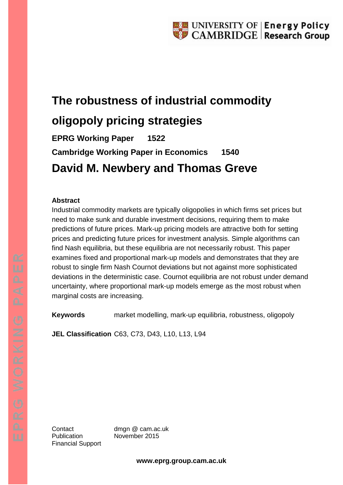# **The robustness of industrial commodity oligopoly pricing strategies**

**EPRG Working Paper 1522 Cambridge Working Paper in Economics 1540 David M. Newbery and Thomas Greve**

## **Abstract**

Industrial commodity markets are typically oligopolies in which firms set prices but need to make sunk and durable investment decisions, requiring them to make predictions of future prices. Mark-up pricing models are attractive both for setting prices and predicting future prices for investment analysis. Simple algorithms can find Nash equilibria, but these equilibria are not necessarily robust. This paper examines fixed and proportional mark-up models and demonstrates that they are robust to single firm Nash Cournot deviations but not against more sophisticated deviations in the deterministic case. Cournot equilibria are not robust under demand uncertainty, where proportional mark-up models emerge as the most robust when marginal costs are increasing.

**Keywords** market modelling, mark-up equilibria, robustness, oligopoly

**JEL Classification** C63, C73, D43, L10, L13, L94

Publication November 2015 Financial Support

Contact dmgn @ cam.ac.uk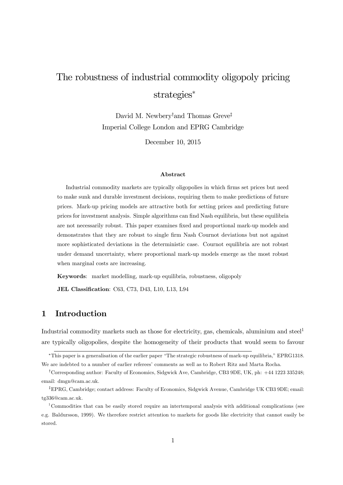## The robustness of industrial commodity oligopoly pricing strategies<sup>∗</sup>

David M. Newbery<sup>†</sup> and Thomas Greve<sup>‡</sup> Imperial College London and EPRG Cambridge

December 10, 2015

#### Abstract

Industrial commodity markets are typically oligopolies in which firms set prices but need to make sunk and durable investment decisions, requiring them to make predictions of future prices. Mark-up pricing models are attractive both for setting prices and predicting future prices for investment analysis. Simple algorithms can find Nash equilibria, but these equilibria are not necessarily robust. This paper examines fixed and proportional mark-up models and demonstrates that they are robust to single firm Nash Cournot deviations but not against more sophisticated deviations in the deterministic case. Cournot equilibria are not robust under demand uncertainty, where proportional mark-up models emerge as the most robust when marginal costs are increasing.

Keywords: market modelling, mark-up equilibria, robustness, oligopoly

JEL Classification: C63, C73, D43, L10, L13, L94

## 1 Introduction

Industrial commodity markets such as those for electricity, gas, chemicals, aluminium and steel<sup>1</sup> are typically oligopolies, despite the homogeneity of their products that would seem to favour

<sup>∗</sup>This paper is a generalisation of the earlier paper "The strategic robustness of mark-up equilibria," EPRG1318. We are indebted to a number of earlier referees' comments as well as to Robert Ritz and Marta Rocha.

<sup>†</sup>Corresponding author: Faculty of Economics, Sidgwick Ave, Cambridge, CB3 9DE, UK, ph: +44 1223 335248; email: dmgn@cam.ac.uk.

<sup>‡</sup>EPRG, Cambridge; contact address: Faculty of Economics, Sidgwick Avenue, Cambridge UK CB3 9DE; email: tg336@cam.ac.uk.

<sup>1</sup>Commodities that can be easily stored require an intertemporal analysis with additional complications (see e.g. Baldursson, 1999). We therefore restrict attention to markets for goods like electricity that cannot easily be stored.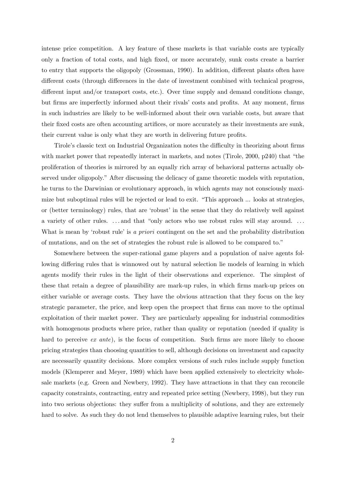intense price competition. A key feature of these markets is that variable costs are typically only a fraction of total costs, and high fixed, or more accurately, sunk costs create a barrier to entry that supports the oligopoly (Grossman, 1990). In addition, different plants often have different costs (through differences in the date of investment combined with technical progress, different input and/or transport costs, etc.). Over time supply and demand conditions change, but firms are imperfectly informed about their rivals' costs and profits. At any moment, firms in such industries are likely to be well-informed about their own variable costs, but aware that their fixed costs are often accounting artifices, or more accurately as their investments are sunk, their current value is only what they are worth in delivering future profits.

Tirole's classic text on Industrial Organization notes the difficulty in theorizing about firms with market power that repeatedly interact in markets, and notes (Tirole, 2000, p240) that "the proliferation of theories is mirrored by an equally rich array of behavioral patterns actually observed under oligopoly." After discussing the delicacy of game theoretic models with reputation, he turns to the Darwinian or evolutionary approach, in which agents may not consciously maximize but suboptimal rules will be rejected or lead to exit. "This approach ... looks at strategies, or (better terminology) rules, that are 'robust' in the sense that they do relatively well against a variety of other rules. ... and that "only actors who use robust rules will stay around. ... What is mean by 'robust rule' is a priori contingent on the set and the probability distribution of mutations, and on the set of strategies the robust rule is allowed to be compared to."

Somewhere between the super-rational game players and a population of naive agents following differing rules that is winnowed out by natural selection lie models of learning in which agents modify their rules in the light of their observations and experience. The simplest of these that retain a degree of plausibility are mark-up rules, in which firms mark-up prices on either variable or average costs. They have the obvious attraction that they focus on the key strategic parameter, the price, and keep open the prospect that firms can move to the optimal exploitation of their market power. They are particularly appealing for industrial commodities with homogenous products where price, rather than quality or reputation (needed if quality is hard to perceive ex ante), is the focus of competition. Such firms are more likely to choose pricing strategies than choosing quantities to sell, although decisions on investment and capacity are necessarily quantity decisions. More complex versions of such rules include supply function models (Klemperer and Meyer, 1989) which have been applied extensively to electricity wholesale markets (e.g. Green and Newbery, 1992). They have attractions in that they can reconcile capacity constraints, contracting, entry and repeated price setting (Newbery, 1998), but they run into two serious objections: they suffer from a multiplicity of solutions, and they are extremely hard to solve. As such they do not lend themselves to plausible adaptive learning rules, but their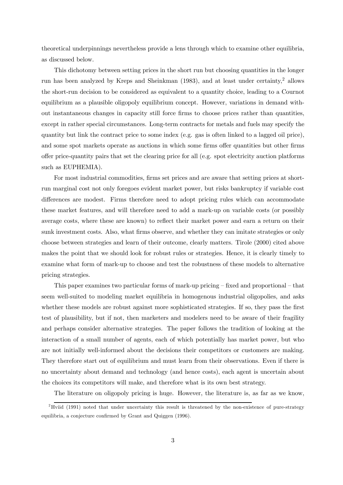theoretical underpinnings nevertheless provide a lens through which to examine other equilibria, as discussed below.

This dichotomy between setting prices in the short run but choosing quantities in the longer run has been analyzed by Kreps and Sheinkman (1983), and at least under certainty,2 allows the short-run decision to be considered as equivalent to a quantity choice, leading to a Cournot equilibrium as a plausible oligopoly equilibrium concept. However, variations in demand without instantaneous changes in capacity still force firms to choose prices rather than quantities, except in rather special circumstances. Long-term contracts for metals and fuels may specify the quantity but link the contract price to some index (e.g. gas is often linked to a lagged oil price), and some spot markets operate as auctions in which some firms offer quantities but other firms offer price-quantity pairs that set the clearing price for all (e.g. spot electricity auction platforms such as EUPHEMIA).

For most industrial commodities, firms set prices and are aware that setting prices at shortrun marginal cost not only foregoes evident market power, but risks bankruptcy if variable cost differences are modest. Firms therefore need to adopt pricing rules which can accommodate these market features, and will therefore need to add a mark-up on variable costs (or possibly average costs, where these are known) to reflect their market power and earn a return on their sunk investment costs. Also, what firms observe, and whether they can imitate strategies or only choose between strategies and learn of their outcome, clearly matters. Tirole (2000) cited above makes the point that we should look for robust rules or strategies. Hence, it is clearly timely to examine what form of mark-up to choose and test the robustness of these models to alternative pricing strategies.

This paper examines two particular forms of mark-up pricing — fixed and proportional — that seem well-suited to modeling market equilibria in homogenous industrial oligopolies, and asks whether these models are robust against more sophisticated strategies. If so, they pass the first test of plausibility, but if not, then marketers and modelers need to be aware of their fragility and perhaps consider alternative strategies. The paper follows the tradition of looking at the interaction of a small number of agents, each of which potentially has market power, but who are not initially well-informed about the decisions their competitors or customers are making. They therefore start out of equilibrium and must learn from their observations. Even if there is no uncertainty about demand and technology (and hence costs), each agent is uncertain about the choices its competitors will make, and therefore what is its own best strategy.

The literature on oligopoly pricing is huge. However, the literature is, as far as we know,

<sup>&</sup>lt;sup>2</sup>Hviid (1991) noted that under uncertainty this result is threatened by the non-existence of pure-strategy equilibria, a conjecture confirmed by Grant and Quiggen (1996).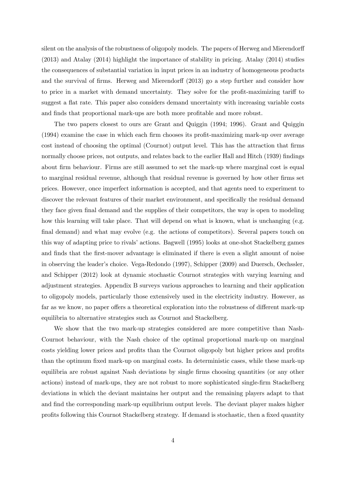silent on the analysis of the robustness of oligopoly models. The papers of Herweg and Mierendorff (2013) and Atalay (2014) highlight the importance of stability in pricing. Atalay (2014) studies the consequences of substantial variation in input prices in an industry of homogeneous products and the survival of firms. Herweg and Mierendorff (2013) go a step further and consider how to price in a market with demand uncertainty. They solve for the profit-maximizing tariff to suggest a flat rate. This paper also considers demand uncertainty with increasing variable costs and finds that proportional mark-ups are both more profitable and more robust.

The two papers closest to ours are Grant and Quiggin (1994; 1996). Grant and Quiggin (1994) examine the case in which each firm chooses its profit-maximizing mark-up over average cost instead of choosing the optimal (Cournot) output level. This has the attraction that firms normally choose prices, not outputs, and relates back to the earlier Hall and Hitch (1939) findings about firm behaviour. Firms are still assumed to set the mark-up where marginal cost is equal to marginal residual revenue, although that residual revenue is governed by how other firms set prices. However, once imperfect information is accepted, and that agents need to experiment to discover the relevant features of their market environment, and specifically the residual demand they face given final demand and the supplies of their competitors, the way is open to modeling how this learning will take place. That will depend on what is known, what is unchanging (e.g. final demand) and what may evolve (e.g. the actions of competitors). Several papers touch on this way of adapting price to rivals' actions. Bagwell (1995) looks at one-shot Stackelberg games and finds that the first-mover advantage is eliminated if there is even a slight amount of noise in observing the leader's choice. Vega-Redondo (1997), Schipper (2009) and Duersch, Oechssler, and Schipper (2012) look at dynamic stochastic Cournot strategies with varying learning and adjustment strategies. Appendix B surveys various approaches to learning and their application to oligopoly models, particularly those extensively used in the electricity industry. However, as far as we know, no paper offers a theoretical exploration into the robustness of different mark-up equilibria to alternative strategies such as Cournot and Stackelberg.

We show that the two mark-up strategies considered are more competitive than Nash-Cournot behaviour, with the Nash choice of the optimal proportional mark-up on marginal costs yielding lower prices and profits than the Cournot oligopoly but higher prices and profits than the optimum fixed mark-up on marginal costs. In deterministic cases, while these mark-up equilibria are robust against Nash deviations by single firms choosing quantities (or any other actions) instead of mark-ups, they are not robust to more sophisticated single-firm Stackelberg deviations in which the deviant maintains her output and the remaining players adapt to that and find the corresponding mark-up equilibrium output levels. The deviant player makes higher profits following this Cournot Stackelberg strategy. If demand is stochastic, then a fixed quantity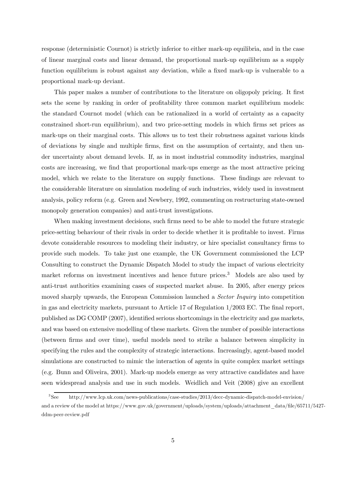response (deterministic Cournot) is strictly inferior to either mark-up equilibria, and in the case of linear marginal costs and linear demand, the proportional mark-up equilibrium as a supply function equilibrium is robust against any deviation, while a fixed mark-up is vulnerable to a proportional mark-up deviant.

This paper makes a number of contributions to the literature on oligopoly pricing. It first sets the scene by ranking in order of profitability three common market equilibrium models: the standard Cournot model (which can be rationalized in a world of certainty as a capacity constrained short-run equilibrium), and two price-setting models in which firms set prices as mark-ups on their marginal costs. This allows us to test their robustness against various kinds of deviations by single and multiple firms, first on the assumption of certainty, and then under uncertainty about demand levels. If, as in most industrial commodity industries, marginal costs are increasing, we find that proportional mark-ups emerge as the most attractive pricing model, which we relate to the literature on supply functions. These findings are relevant to the considerable literature on simulation modeling of such industries, widely used in investment analysis, policy reform (e.g. Green and Newbery, 1992, commenting on restructuring state-owned monopoly generation companies) and anti-trust investigations.

When making investment decisions, such firms need to be able to model the future strategic price-setting behaviour of their rivals in order to decide whether it is profitable to invest. Firms devote considerable resources to modeling their industry, or hire specialist consultancy firms to provide such models. To take just one example, the UK Government commissioned the LCP Consulting to construct the Dynamic Dispatch Model to study the impact of various electricity market reforms on investment incentives and hence future prices.<sup>3</sup> Models are also used by anti-trust authorities examining cases of suspected market abuse. In 2005, after energy prices moved sharply upwards, the European Commission launched a Sector Inquiry into competition in gas and electricity markets, pursuant to Article 17 of Regulation 1/2003 EC. The final report, published as DG COMP (2007), identified serious shortcomings in the electricity and gas markets, and was based on extensive modelling of these markets. Given the number of possible interactions (between firms and over time), useful models need to strike a balance between simplicity in specifying the rules and the complexity of strategic interactions. Increasingly, agent-based model simulations are constructed to mimic the interaction of agents in quite complex market settings (e.g. Bunn and Oliveira, 2001). Mark-up models emerge as very attractive candidates and have seen widespread analysis and use in such models. Weidlich and Veit (2008) give an excellent

<sup>3</sup>See http://www.lcp.uk.com/news-publications/case-studies/2013/decc-dynamic-dispatch-model-envision/ and a review of the model at https://www.gov.uk/government/uploads/system/uploads/attachment\_data/file/65711/5427 ddm-peer-review.pdf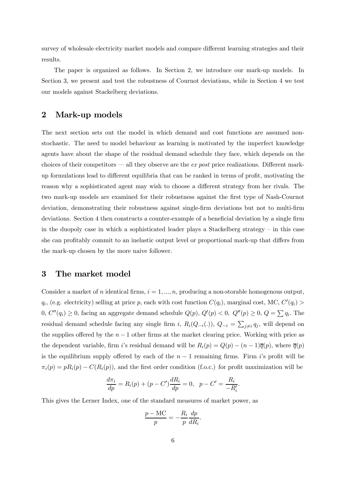survey of wholesale electricity market models and compare different learning strategies and their results.

The paper is organized as follows. In Section 2, we introduce our mark-up models. In Section 3, we present and test the robustness of Cournot deviations, while in Section 4 we test our models against Stackelberg deviations.

## 2 Mark-up models

The next section sets out the model in which demand and cost functions are assumed nonstochastic. The need to model behaviour as learning is motivated by the imperfect knowledge agents have about the shape of the residual demand schedule they face, which depends on the choices of their competitors – all they observe are the ex post price realizations. Different markup formulations lead to different equilibria that can be ranked in terms of profit, motivating the reason why a sophisticated agent may wish to choose a different strategy from her rivals. The two mark-up models are examined for their robustness against the first type of Nash-Cournot deviation, demonstrating their robustness against single-firm deviations but not to multi-firm deviations. Section 4 then constructs a counter-example of a beneficial deviation by a single firm in the duopoly case in which a sophisticated leader plays a Stackelberg strategy  $-$  in this case she can profitably commit to an inelastic output level or proportional mark-up that differs from the mark-up chosen by the more naive follower.

## 3 The market model

Consider a market of *n* identical firms,  $i = 1, ..., n$ , producing a non-storable homogenous output,  $q_i$ , (e.g. electricity) selling at price p, each with cost function  $C(q_i)$ , marginal cost, MC,  $C'(q_i)$ 0,  $C''(q_i) \ge 0$ , facing an aggregate demand schedule  $Q(p)$ ,  $Q'(p) < 0$ ,  $Q''(p) \ge 0$ ,  $Q = \sum q_i$ . The residual demand schedule facing any single firm *i*,  $R_i(Q_{-i}(.))$ ,  $Q_{-i} = \sum_{j \neq i} q_j$ , will depend on the supplies offered by the  $n - 1$  other firms at the market clearing price. Working with price as the dependent variable, firm i's residual demand will be  $R_i(p) = Q(p) - (n-1)\overline{q}(p)$ , where  $\overline{q}(p)$ is the equilibrium supply offered by each of the  $n-1$  remaining firms. Firm i's profit will be  $\pi_i(p) = pR_i(p) - C(R_i(p))$ , and the first order condition (f.o.c.) for profit maximization will be

$$
\frac{d\pi_i}{dp} = R_i(p) + (p - C')\frac{dR_i}{dp} = 0, \ \ p - C' = \frac{R_i}{-R'_i}.
$$

This gives the Lerner Index, one of the standard measures of market power, as

$$
\frac{p-\text{MC}}{p} = -\frac{R_i}{p}\frac{dp}{dR_i}.
$$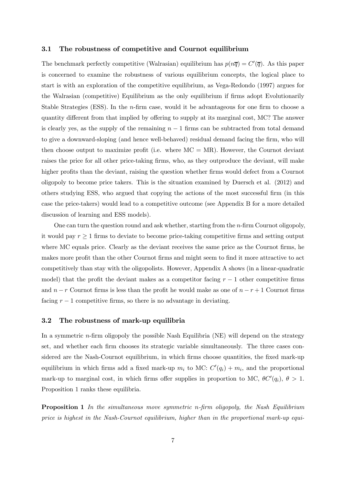#### 3.1 The robustness of competitive and Cournot equilibrium

The benchmark perfectly competitive (Walrasian) equilibrium has  $p(n\overline{q}) = C'(\overline{q})$ . As this paper is concerned to examine the robustness of various equilibrium concepts, the logical place to start is with an exploration of the competitive equilibrium, as Vega-Redondo (1997) argues for the Walrasian (competitive) Equilibrium as the only equilibrium if firms adopt Evolutionarily Stable Strategies (ESS). In the  $n$ -firm case, would it be advantageous for one firm to choose a quantity different from that implied by offering to supply at its marginal cost, MC? The answer is clearly yes, as the supply of the remaining  $n-1$  firms can be subtracted from total demand to give a downward-sloping (and hence well-behaved) residual demand facing the firm, who will then choose output to maximize profit (i.e. where  $MC = MR$ ). However, the Cournot deviant raises the price for all other price-taking firms, who, as they outproduce the deviant, will make higher profits than the deviant, raising the question whether firms would defect from a Cournot oligopoly to become price takers. This is the situation examined by Duersch et al. (2012) and others studying ESS, who argued that copying the actions of the most successful firm (in this case the price-takers) would lead to a competitive outcome (see Appendix B for a more detailed discussion of learning and ESS models).

One can turn the question round and ask whether, starting from the  $n$ -firm Cournot oligopoly, it would pay  $r \geq 1$  firms to deviate to become price-taking competitive firms and setting output where MC equals price. Clearly as the deviant receives the same price as the Cournot firms, he makes more profit than the other Cournot firms and might seem to find it more attractive to act competitively than stay with the oligopolists. However, Appendix A shows (in a linear-quadratic model) that the profit the deviant makes as a competitor facing  $r - 1$  other competitive firms and  $n - r$  Cournot firms is less than the profit he would make as one of  $n - r + 1$  Cournot firms facing  $r - 1$  competitive firms, so there is no advantage in deviating.

#### 3.2 The robustness of mark-up equilibria

In a symmetric  $n$ -firm oligopoly the possible Nash Equilibria (NE) will depend on the strategy set, and whether each firm chooses its strategic variable simultaneously. The three cases considered are the Nash-Cournot equilibrium, in which firms choose quantities, the fixed mark-up equilibrium in which firms add a fixed mark-up  $m_i$  to MC:  $C'(q_i) + m_i$ , and the proportional mark-up to marginal cost, in which firms offer supplies in proportion to MC,  $\theta C'(q_i)$ ,  $\theta > 1$ . Proposition 1 ranks these equilibria.

**Proposition 1** In the simultaneous move symmetric n-firm oligopoly, the Nash Equilibrium price is highest in the Nash-Cournot equilibrium, higher than in the proportional mark-up equi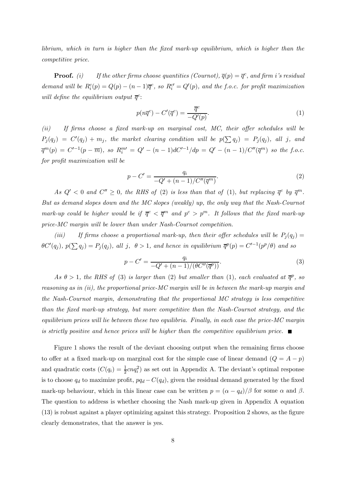librium, which in turn is higher than the fixed mark-up equilibrium, which is higher than the competitive price.

**Proof.** (i) If the other firms choose quantities (Cournot),  $\overline{q}(p) = \overline{q}^c$ , and firm i's residual demand will be  $R_i^c(p) = Q(p) - (n-1)\overline{q}^c$ , so  $R_i^{c'} = Q'(p)$ , and the f.o.c. for profit maximization will define the equilibrium output  $\overline{q}^c$ :

$$
p(n\overline{q}^c) - C'(\overline{q}^c) = \frac{\overline{q}^c}{-Q'(p)}.
$$
\n
$$
(1)
$$

(ii) If firms choose a fixed mark-up on marginal cost, MC, their offer schedules will be  $P_j(q_j) = C'(q_j) + m_j$ , the market clearing condition will be  $p(\sum q_j) = P_j(q_j)$ , all j, and  $\overline{q}^m(p) = C'^{-1}(p - \overline{m}),$  so  $R_i^{m'} = Q' - (n - 1)dC'^{-1}/dp = Q' - (n - 1)/C''(\overline{q}^m)$  so the f.o.c. for profit maximization will be

$$
p - C' = \frac{q_i}{-Q' + (n-1)/C''(\overline{q}^m)}.
$$
\n(2)

As  $Q' < 0$  and  $C'' \ge 0$ , the RHS of (2) is less than that of (1), but replacing  $\overline{q}^c$  by  $\overline{q}^m$ . But as demand slopes down and the MC slopes (weakly) up, the only way that the Nash-Cournot mark-up could be higher would be if  $\overline{q}^c < \overline{q}^m$  and  $p^c > p^m$ . It follows that the fixed mark-up price-MC margin will be lower than under Nash-Cournot competition.

(iii) If firms choose a proportional mark-up, then their offer schedules will be  $P_j(q_j) =$  $\theta C'(q_j), p(\sum q_j) = P_j(q_j),$  all j,  $\theta > 1$ , and hence in equilibrium  $\overline{q}^p(p) = C'^{-1}(p^p/\theta)$  and so

$$
p - C' = \frac{q_i}{-Q' + (n-1)/(\theta C''(\overline{q}^p))}.
$$
\n(3)

As  $\theta > 1$ , the RHS of (3) is larger than (2) but smaller than (1), each evaluated at  $\overline{q}^p$ , so reasoning as in (ii), the proportional price-MC margin will be in between the mark-up margin and the Nash-Cournot margin, demonstrating that the proportional MC strategy is less competitive than the fixed mark-up strategy, but more competitive than the Nash-Cournot strategy, and the equilibrium prices will lie between these two equilibria. Finally, in each case the price-MC margin is strictly positive and hence prices will be higher than the competitive equilibrium price.  $\blacksquare$ 

Figure 1 shows the result of the deviant choosing output when the remaining firms choose to offer at a fixed mark-up on marginal cost for the simple case of linear demand  $(Q = A - p)$ and quadratic costs  $(C(q_i) = \frac{1}{2}cnq_i^2)$  as set out in Appendix A. The deviant's optimal response is to choose  $q_d$  to maximize profit,  $pq_d - C(q_d)$ , given the residual demand generated by the fixed mark-up behaviour, which in this linear case can be written  $p = (\alpha - q_d)/\beta$  for some  $\alpha$  and  $\beta$ . The question to address is whether choosing the Nash mark-up given in Appendix A equation (13) is robust against a player optimizing against this strategy. Proposition 2 shows, as the figure clearly demonstrates, that the answer is yes.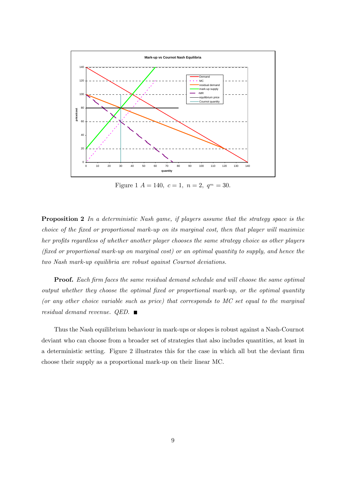

Figure 1  $A = 140$ ,  $c = 1$ ,  $n = 2$ ,  $q<sup>m</sup> = 30$ .

Proposition 2 In a deterministic Nash game, if players assume that the strategy space is the choice of the fixed or proportional mark-up on its marginal cost, then that player will maximize her profits regardless of whether another player chooses the same strategy choice as other players (fixed or proportional mark-up on marginal cost) or an optimal quantity to supply, and hence the two Nash mark-up equilibria are robust against Cournot deviations.

Proof. Each firm faces the same residual demand schedule and will choose the same optimal output whether they choose the optimal fixed or proportional mark-up, or the optimal quantity (or any other choice variable such as price) that corresponds to MC set equal to the marginal residual demand revenue. QED.  $\blacksquare$ 

Thus the Nash equilibrium behaviour in mark-ups or slopes is robust against a Nash-Cournot deviant who can choose from a broader set of strategies that also includes quantities, at least in a deterministic setting. Figure 2 illustrates this for the case in which all but the deviant firm choose their supply as a proportional mark-up on their linear MC.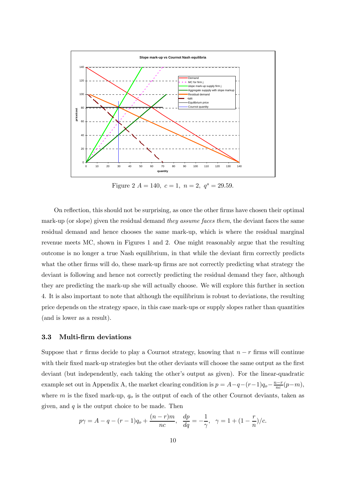

Figure 2  $A = 140$ ,  $c = 1$ ,  $n = 2$ ,  $q^s = 29.59$ .

On reflection, this should not be surprising, as once the other firms have chosen their optimal mark-up (or slope) given the residual demand they assume faces them, the deviant faces the same residual demand and hence chooses the same mark-up, which is where the residual marginal revenue meets MC, shown in Figures 1 and 2. One might reasonably argue that the resulting outcome is no longer a true Nash equilibrium, in that while the deviant firm correctly predicts what the other firms will do, these mark-up firms are not correctly predicting what strategy the deviant is following and hence not correctly predicting the residual demand they face, although they are predicting the mark-up she will actually choose. We will explore this further in section 4. It is also important to note that although the equilibrium is robust to deviations, the resulting price depends on the strategy space, in this case mark-ups or supply slopes rather than quantities (and is lower as a result).

#### 3.3 Multi-firm deviations

Suppose that  $r$  firms decide to play a Cournot strategy, knowing that  $n - r$  firms will continue with their fixed mark-up strategies but the other deviants will choose the same output as the first deviant (but independently, each taking the other's output as given). For the linear-quadratic example set out in Appendix A, the market clearing condition is  $p = A - q - (r - 1)q_o - \frac{n-r}{nc}(p - m)$ , where  $m$  is the fixed mark-up,  $q_o$  is the output of each of the other Cournot deviants, taken as given, and  $q$  is the output choice to be made. Then

$$
p\gamma = A - q - (r - 1)q_o + \frac{(n - r)m}{nc}, \frac{dp}{dq} = -\frac{1}{\gamma}, \gamma = 1 + (1 - \frac{r}{n})/c.
$$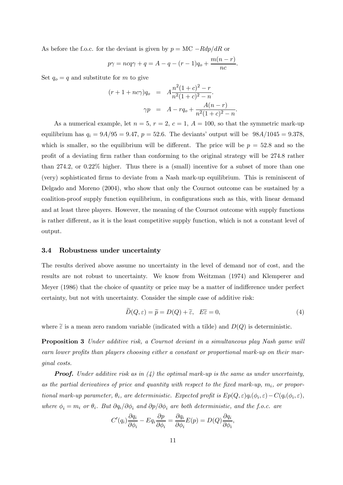As before the f.o.c. for the deviant is given by  $p = MC - Rdp/dR$  or

$$
p\gamma = ncq\gamma + q = A - q - (r - 1)q_o + \frac{m(n - r)}{nc}.
$$

Set  $q_o = q$  and substitute for m to give

$$
(r+1+nc\gamma)q_o = A\frac{n^2(1+c)^2 - r}{n^2(1+c)^2 - n}.
$$

$$
\gamma p = A - rq_o + \frac{A(n-r)}{n^2(1+c)^2 - n}.
$$

As a numerical example, let  $n = 5$ ,  $r = 2$ ,  $c = 1$ ,  $A = 100$ , so that the symmetric mark-up equilibrium has  $q_i = 9A/95 = 9.47$ ,  $p = 52.6$ . The deviants' output will be  $98A/1045 = 9.378$ , which is smaller, so the equilibrium will be different. The price will be  $p = 52.8$  and so the profit of a deviating firm rather than conforming to the original strategy will be 2748 rather than 2742, or 022% higher. Thus there is a (small) incentive for a subset of more than one (very) sophisticated firms to deviate from a Nash mark-up equilibrium. This is reminiscent of Delgado and Moreno (2004), who show that only the Cournot outcome can be sustained by a coalition-proof supply function equilibrium, in configurations such as this, with linear demand and at least three players. However, the meaning of the Cournot outcome with supply functions is rather different, as it is the least competitive supply function, which is not a constant level of output.

#### 3.4 Robustness under uncertainty

The results derived above assume no uncertainty in the level of demand nor of cost, and the results are not robust to uncertainty. We know from Weitzman (1974) and Klemperer and Meyer (1986) that the choice of quantity or price may be a matter of indifference under perfect certainty, but not with uncertainty. Consider the simple case of additive risk:

$$
D(Q, \varepsilon) = \widetilde{p} = D(Q) + \widetilde{\varepsilon}, \quad E\widetilde{\varepsilon} = 0,
$$
\n<sup>(4)</sup>

where  $\tilde{\varepsilon}$  is a mean zero random variable (indicated with a tilde) and  $D(Q)$  is deterministic.

Proposition 3 Under additive risk, a Cournot deviant in a simultaneous play Nash game will earn lower profits than players choosing either a constant or proportional mark-up on their marginal costs.

**Proof.** Under additive risk as in  $(4)$  the optimal mark-up is the same as under uncertainty, as the partial derivatives of price and quantity with respect to the fixed mark-up,  $m_i$ , or proportional mark-up parameter,  $\theta_i$ , are deterministic. Expected profit is  $Ep(Q, \varepsilon)q_i(\phi_i, \varepsilon) - C(q_i(\phi_i, \varepsilon))$ where  $\phi_i = m_i$  or  $\theta_i$ . But  $\partial q_i / \partial \phi_i$  and  $\partial p / \partial \phi_i$  are both deterministic, and the f.o.c. are

$$
C'(q_i)\frac{\partial q_i}{\partial \phi_i} - Eq_i \frac{\partial p}{\partial \phi_i} = \frac{\partial q_i}{\partial \phi_i}E(p) = D(Q)\frac{\partial q_i}{\partial \phi_i},
$$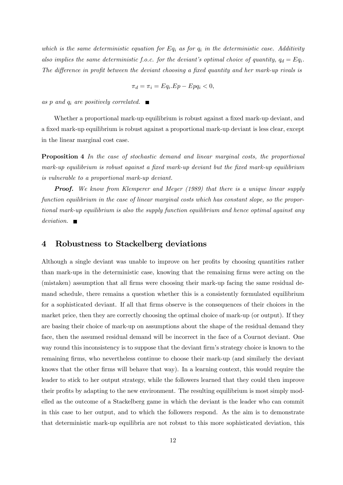which is the same deterministic equation for  $Eq_i$  as for  $q_i$  in the deterministic case. Additivity also implies the same deterministic f.o.c. for the deviant's optimal choice of quantity,  $q_d = Eq_i$ . The difference in profit between the deviant choosing a fixed quantity and her mark-up rivals is

$$
\pi_d = \pi_i = Eq_i.Ep - Epq_i < 0,
$$

as p and  $q_i$  are positively correlated.  $\blacksquare$ 

Whether a proportional mark-up equilibrium is robust against a fixed mark-up deviant, and a fixed mark-up equilibrium is robust against a proportional mark-up deviant is less clear, except in the linear marginal cost case.

Proposition 4 In the case of stochastic demand and linear marginal costs, the proportional mark-up equilibrium is robust against a fixed mark-up deviant but the fixed mark-up equilibrium is vulnerable to a proportional mark-up deviant.

**Proof.** We know from Klemperer and Meyer (1989) that there is a unique linear supply function equilibrium in the case of linear marginal costs which has constant slope, so the proportional mark-up equilibrium is also the supply function equilibrium and hence optimal against any  $deviation.$ 

## 4 Robustness to Stackelberg deviations

Although a single deviant was unable to improve on her profits by choosing quantities rather than mark-ups in the deterministic case, knowing that the remaining firms were acting on the (mistaken) assumption that all firms were choosing their mark-up facing the same residual demand schedule, there remains a question whether this is a consistently formulated equilibrium for a sophisticated deviant. If all that firms observe is the consequences of their choices in the market price, then they are correctly choosing the optimal choice of mark-up (or output). If they are basing their choice of mark-up on assumptions about the shape of the residual demand they face, then the assumed residual demand will be incorrect in the face of a Cournot deviant. One way round this inconsistency is to suppose that the deviant firm's strategy choice is known to the remaining firms, who nevertheless continue to choose their mark-up (and similarly the deviant knows that the other firms will behave that way). In a learning context, this would require the leader to stick to her output strategy, while the followers learned that they could then improve their profits by adapting to the new environment. The resulting equilibrium is most simply modelled as the outcome of a Stackelberg game in which the deviant is the leader who can commit in this case to her output, and to which the followers respond. As the aim is to demonstrate that deterministic mark-up equilibria are not robust to this more sophisticated deviation, this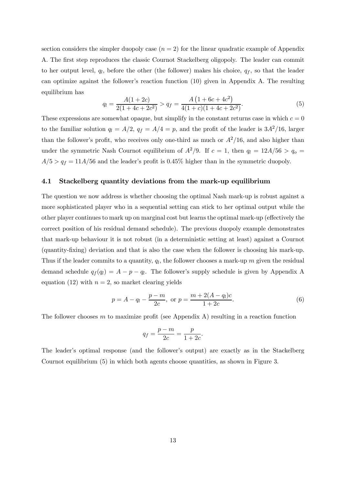section considers the simpler duopoly case  $(n = 2)$  for the linear quadratic example of Appendix A. The first step reproduces the classic Cournot Stackelberg oligopoly. The leader can commit to her output level,  $q_l$ , before the other (the follower) makes his choice,  $q_f$ , so that the leader can optimize against the follower's reaction function (10) given in Appendix A. The resulting equilibrium has

$$
q_l = \frac{A(1+2c)}{2(1+4c+2c^2)} > q_f = \frac{A(1+6c+4c^2)}{4(1+c)(1+4c+2c^2)}.
$$
\n(5)

These expressions are somewhat opaque, but simplify in the constant returns case in which  $c = 0$ to the familiar solution  $q_l = A/2$ ,  $q_f = A/4 = p$ , and the profit of the leader is  $3A^2/16$ , larger than the follower's profit, who receives only one-third as much or  $A^2/16$ , and also higher than under the symmetric Nash Cournot equilibrium of  $A^2/9$ . If  $c = 1$ , then  $q_l = 12A/56 > q_o =$  $A/5 > q_f = 11A/56$  and the leader's profit is 0.45% higher than in the symmetric duopoly.

### 4.1 Stackelberg quantity deviations from the mark-up equilibrium

The question we now address is whether choosing the optimal Nash mark-up is robust against a more sophisticated player who in a sequential setting can stick to her optimal output while the other player continues to mark up on marginal cost but learns the optimal mark-up (effectively the correct position of his residual demand schedule). The previous duopoly example demonstrates that mark-up behaviour it is not robust (in a deterministic setting at least) against a Cournot (quantity-fixing) deviation and that is also the case when the follower is choosing his mark-up. Thus if the leader commits to a quantity,  $q_l$ , the follower chooses a mark-up m given the residual demand schedule  $q_f(q_l) = A - p - q_l$ . The follower's supply schedule is given by Appendix A equation (12) with  $n = 2$ , so market clearing yields

$$
p = A - q_l - \frac{p - m}{2c}
$$
, or  $p = \frac{m + 2(A - q_l)c}{1 + 2c}$ . (6)

The follower chooses  $m$  to maximize profit (see Appendix A) resulting in a reaction function

$$
q_f = \frac{p-m}{2c} = \frac{p}{1+2c}.
$$

The leader's optimal response (and the follower's output) are exactly as in the Stackelberg Cournot equilibrium (5) in which both agents choose quantities, as shown in Figure 3.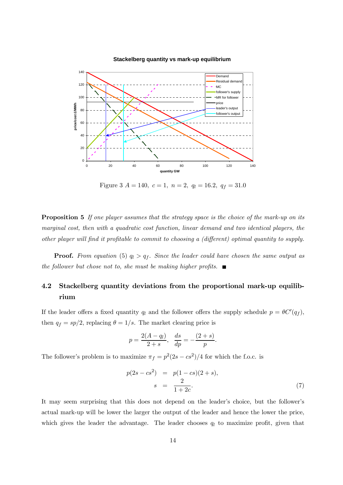

#### **Stackelberg quantity vs mark-up equilibrium**

Figure 3  $A = 140$ ,  $c = 1$ ,  $n = 2$ ,  $q_l = 16.2$ ,  $q_f = 31.0$ 

**Proposition 5** If one player assumes that the strategy space is the choice of the mark-up on its marginal cost, then with a quadratic cost function, linear demand and two identical players, the other player will find it profitable to commit to choosing a (different) optimal quantity to supply.

**Proof.** From equation (5)  $q_l > q_f$ . Since the leader could have chosen the same output as the follower but chose not to, she must be making higher profits.  $\blacksquare$ 

## 4.2 Stackelberg quantity deviations from the proportional mark-up equilibrium

If the leader offers a fixed quantity  $q_l$  and the follower offers the supply schedule  $p = \theta C'(q_f)$ , then  $q_f = sp/2$ , replacing  $\theta = 1/s$ . The market clearing price is

$$
p = \frac{2(A - q_l)}{2 + s}, \frac{ds}{dp} = -\frac{(2 + s)}{p}.
$$

The follower's problem is to maximize  $\pi_f = p^2(2s - cs^2)/4$  for which the f.o.c. is

$$
p(2s - cs2) = p(1 - cs)(2 + s),
$$
  
\n
$$
s = \frac{2}{1 + 2c}.
$$
 (7)

It may seem surprising that this does not depend on the leader's choice, but the follower's actual mark-up will be lower the larger the output of the leader and hence the lower the price, which gives the leader the advantage. The leader chooses  $q_l$  to maximize profit, given that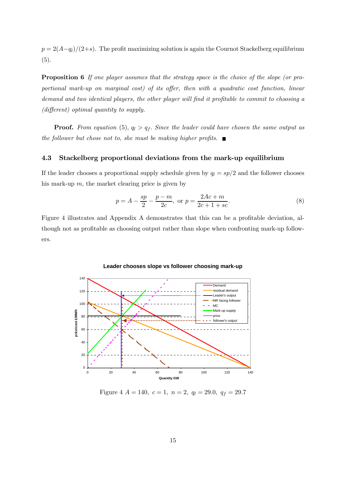$p = 2(A-q_l)/(2+s)$ . The profit maximizing solution is again the Cournot Stackelberg equilibrium (5).

**Proposition 6** If one player assumes that the strategy space is the choice of the slope (or proportional mark-up on marginal cost) of its offer, then with a quadratic cost function, linear demand and two identical players, the other player will find it profitable to commit to choosing a (different) optimal quantity to supply.

**Proof.** From equation (5),  $q_l > q_f$ . Since the leader could have chosen the same output as the follower but chose not to, she must be making higher profits.  $\blacksquare$ 

#### 4.3 Stackelberg proportional deviations from the mark-up equilibrium

If the leader chooses a proportional supply schedule given by  $q_l = sp/2$  and the follower chooses his mark-up  $m$ , the market clearing price is given by

$$
p = A - \frac{sp}{2} - \frac{p - m}{2c}
$$
, or  $p = \frac{2Ac + m}{2c + 1 + sc}$ . (8)

Figure 4 illustrates and Appendix A demonstrates that this can be a profitable deviation, although not as profitable as choosing output rather than slope when confronting mark-up followers.



**Leader chooses slope vs follower choosing mark-up**

Figure 4  $A = 140$ ,  $c = 1$ ,  $n = 2$ ,  $q_l = 29.0$ ,  $q_f = 29.7$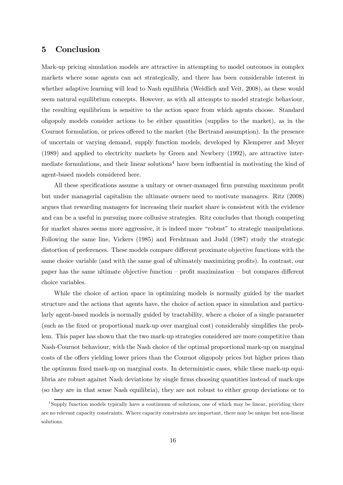## 5 Conclusion

Mark-up pricing simulation models are attractive in attempting to model outcomes in complex markets where some agents can act strategically, and there has been considerable interest in whether adaptive learning will lead to Nash equilibria (Weidlich and Veit, 2008), as these would seem natural equilibrium concepts. However, as with all attempts to model strategic behaviour, the resulting equilibrium is sensitive to the action space from which agents choose. Standard oligopoly models consider actions to be either quantities (supplies to the market), as in the Cournot formulation, or prices offered to the market (the Bertrand assumption). In the presence of uncertain or varying demand, supply function models, developed by Klemperer and Meyer (1989) and applied to electricity markets by Green and Newbery (1992), are attractive intermediate formulations, and their linear solutions<sup>4</sup> have been influential in motivating the kind of agent-based models considered here.

All these specifications assume a unitary or owner-managed firm pursuing maximum profit but under managerial capitalism the ultimate owners need to motivate managers. Ritz (2008) argues that rewarding managers for increasing their market share is consistent with the evidence and can be a useful in pursuing more collusive strategies. Ritz concludes that though competing for market shares seems more aggressive, it is indeed more "robust" to strategic manipulations. Following the same line, Vickers (1985) and Fershtman and Judd (1987) study the strategic distortion of preferences. These models compare different proximate objective functions with the same choice variable (and with the same goal of ultimately maximizing profits). In contrast, our paper has the same ultimate objective function — profit maximization — but compares different choice variables.

While the choice of action space in optimizing models is normally guided by the market structure and the actions that agents have, the choice of action space in simulation and particularly agent-based models is normally guided by tractability, where a choice of a single parameter (such as the fixed or proportional mark-up over marginal cost) considerably simplifies the problem. This paper has shown that the two mark-up strategies considered are more competitive than Nash-Cournot behaviour, with the Nash choice of the optimal proportional mark-up on marginal costs of the offers yielding lower prices than the Cournot oligopoly prices but higher prices than the optimum fixed mark-up on marginal costs. In deterministic cases, while these mark-up equilibria are robust against Nash deviations by single firms choosing quantities instead of mark-ups (so they are in that sense Nash equilibria), they are not robust to either group deviations or to

<sup>&</sup>lt;sup>4</sup>Supply function models typically have a continuum of solutions, one of which may be linear, providing there are no relevant capacity constraints. Where capacity constraints are important, there may be unique but non-linear solutions.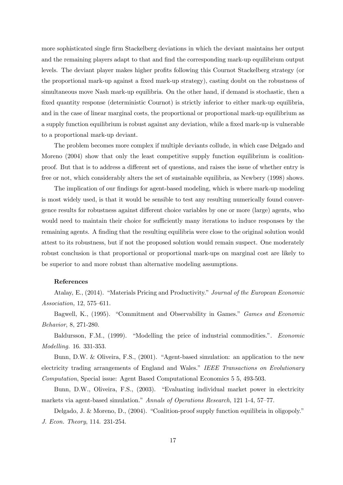more sophisticated single firm Stackelberg deviations in which the deviant maintains her output and the remaining players adapt to that and find the corresponding mark-up equilibrium output levels. The deviant player makes higher profits following this Cournot Stackelberg strategy (or the proportional mark-up against a fixed mark-up strategy), casting doubt on the robustness of simultaneous move Nash mark-up equilibria. On the other hand, if demand is stochastic, then a fixed quantity response (deterministic Cournot) is strictly inferior to either mark-up equilibria, and in the case of linear marginal costs, the proportional or proportional mark-up equilibrium as a supply function equilibrium is robust against any deviation, while a fixed mark-up is vulnerable to a proportional mark-up deviant.

The problem becomes more complex if multiple deviants collude, in which case Delgado and Moreno (2004) show that only the least competitive supply function equilibrium is coalitionproof. But that is to address a different set of questions, and raises the issue of whether entry is free or not, which considerably alters the set of sustainable equilibria, as Newbery (1998) shows.

The implication of our findings for agent-based modeling, which is where mark-up modeling is most widely used, is that it would be sensible to test any resulting numerically found convergence results for robustness against different choice variables by one or more (large) agents, who would need to maintain their choice for sufficiently many iterations to induce responses by the remaining agents. A finding that the resulting equilibria were close to the original solution would attest to its robustness, but if not the proposed solution would remain suspect. One moderately robust conclusion is that proportional or proportional mark-ups on marginal cost are likely to be superior to and more robust than alternative modeling assumptions.

#### References

Atalay, E., (2014). "Materials Pricing and Productivity." Journal of the European Economic Association, 12, 575—611.

Bagwell, K., (1995). "Commitment and Observability in Games." Games and Economic Behavior, 8, 271-280.

Baldursson, F.M., (1999). "Modelling the price of industrial commodities.". Economic Modelling. 16. 331-353.

Bunn, D.W. & Oliveira, F.S., (2001). "Agent-based simulation: an application to the new electricity trading arrangements of England and Wales." IEEE Transactions on Evolutionary Computation, Special issue: Agent Based Computational Economics 5 5, 493-503.

Bunn, D.W., Oliveira, F.S., (2003). "Evaluating individual market power in electricity markets via agent-based simulation." Annals of Operations Research, 121 1-4, 57—77.

Delgado, J. & Moreno, D., (2004). "Coalition-proof supply function equilibria in oligopoly." J. Econ. Theory, 114. 231-254.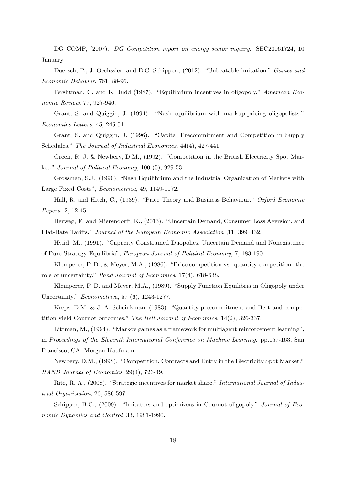DG COMP, (2007). DG Competition report on energy sector inquiry. SEC20061724, 10 January

Duersch, P., J. Oechssler, and B.C. Schipper., (2012). "Unbeatable imitation." Games and Economic Behavior, 761, 88-96.

Fershtman, C. and K. Judd (1987). "Equilibrium incentives in oligopoly." American Economic Review, 77, 927-940.

Grant, S. and Quiggin, J. (1994). "Nash equilibrium with markup-pricing oligopolists." Economics Letters, 45, 245-51

Grant, S. and Quiggin, J. (1996). "Capital Precommitment and Competition in Supply Schedules." The Journal of Industrial Economics, 44(4), 427-441.

Green, R. J. & Newbery, D.M., (1992). "Competition in the British Electricity Spot Market." Journal of Political Economy, 100 (5), 929-53.

Grossman, S.J., (1990), "Nash Equilibrium and the Industrial Organization of Markets with Large Fixed Costs", Econometrica, 49, 1149-1172.

Hall, R. and Hitch, C., (1939). "Price Theory and Business Behaviour." Oxford Economic Papers. 2, 12-45

Herweg, F. and Mierendorff, K., (2013). "Uncertain Demand, Consumer Loss Aversion, and Flat-Rate Tariffs." Journal of the European Economic Association ,11, 399—432.

Hviid, M., (1991). "Capacity Constrained Duopolies, Uncertain Demand and Nonexistence of Pure Strategy Equilibria", European Journal of Political Economy, 7, 183-190.

Klemperer, P. D., & Meyer, M.A., (1986). "Price competition vs. quantity competition: the role of uncertainty." Rand Journal of Economics, 17(4), 618-638.

Klemperer, P. D. and Meyer, M.A., (1989). "Supply Function Equilibria in Oligopoly under Uncertainty." Econometrica, 57 (6), 1243-1277.

Kreps, D.M. & J. A. Scheinkman, (1983). "Quantity precommitment and Bertrand competition yield Cournot outcomes." The Bell Journal of Economics, 14(2), 326-337.

Littman, M., (1994). "Markov games as a framework for multiagent reinforcement learning", in Proceedings of the Eleventh International Conference on Machine Learning. pp.157-163, San Francisco, CA: Morgan Kaufmann.

Newbery, D.M., (1998). "Competition, Contracts and Entry in the Electricity Spot Market." RAND Journal of Economics, 29(4), 726-49.

Ritz, R. A., (2008). "Strategic incentives for market share." International Journal of Industrial Organization, 26, 586-597.

Schipper, B.C., (2009). "Imitators and optimizers in Cournot oligopoly." *Journal of Eco*nomic Dynamics and Control, 33, 1981-1990.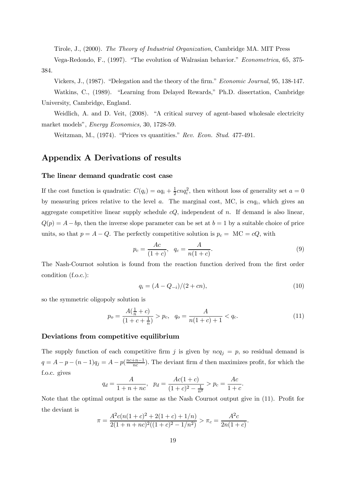Tirole, J., (2000). The Theory of Industrial Organization, Cambridge MA. MIT Press

Vega-Redondo, F., (1997). "The evolution of Walrasian behavior." Econometrica, 65, 375- 384.

Vickers, J., (1987). "Delegation and the theory of the firm." Economic Journal, 95, 138-147.

Watkins, C., (1989). "Learning from Delayed Rewards," Ph.D. dissertation, Cambridge University, Cambridge, England.

Weidlich, A. and D. Veit, (2008). "A critical survey of agent-based wholesale electricity market models", Energy Economics, 30, 1728-59.

Weitzman, M., (1974). "Prices vs quantities." Rev. Econ. Stud. 477-491.

## Appendix A Derivations of results

#### The linear demand quadratic cost case

If the cost function is quadratic:  $C(q_i) = aq_i + \frac{1}{2}cnq_i^2$ , then without loss of generality set  $a = 0$ by measuring prices relative to the level  $a$ . The marginal cost, MC, is  $cnq_i$ , which gives an aggregate competitive linear supply schedule  $cQ$ , independent of n. If demand is also linear,  $Q(p) = A - bp$ , then the inverse slope parameter can be set at  $b = 1$  by a suitable choice of price units, so that  $p = A - Q$ . The perfectly competitive solution is  $p_c = MC = cQ$ , with

$$
p_c = \frac{Ac}{(1+c)}, \quad q_c = \frac{A}{n(1+c)}.
$$
\n(9)

The Nash-Cournot solution is found from the reaction function derived from the first order condition (f.o.c.):

$$
q_i = (A - Q_{-i})/(2 + cn),
$$
\n(10)

so the symmetric oligopoly solution is

$$
p_o = \frac{A(\frac{1}{n} + c)}{(1 + c + \frac{1}{n})} > p_c, \quad q_o = \frac{A}{n(1 + c) + 1} < q_c.
$$
 (11)

## Deviations from competitive equilibrium

The supply function of each competitive firm j is given by  $nca_i = p$ , so residual demand is  $q = A - p - (n - 1)q_j = A - p(\frac{nc + n - 1}{nc})$ . The deviant firm d then maximizes profit, for which the f.o.c. gives

$$
q_d = \frac{A}{1 + n + nc}, \quad p_d = \frac{Ac(1 + c)}{(1 + c)^2 - \frac{1}{n^2}} > p_c = \frac{Ac}{1 + c}.
$$

Note that the optimal output is the same as the Nash Cournot output give in (11). Profit for the deviant is

$$
\pi = \frac{A^2c(n(1+c)^2 + 2(1+c) + 1/n)}{2(1+n+nc)^2((1+c)^2 - 1/n^2)} > \pi_c = \frac{A^2c}{2n(1+c)}.
$$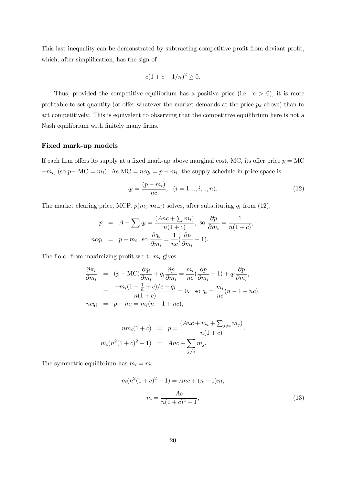This last inequality can be demonstrated by subtracting competitive profit from deviant profit, which, after simplification, has the sign of

$$
c(1 + c + 1/n)^2 \ge 0.
$$

Thus, provided the competitive equilibrium has a positive price (i.e.  $c > 0$ ), it is more profitable to set quantity (or offer whatever the market demands at the price  $p_d$  above) than to act competitively. This is equivalent to observing that the competitive equilibrium here is not a Nash equilibrium with finitely many firms.

#### Fixed mark-up models

If each firm offers its supply at a fixed mark-up above marginal cost, MC, its offer price  $p = MC$  $+m_i$ , (so  $p$  – MC =  $m_i$ ). As MC =  $ncq_i = p - m_i$ , the supply schedule in price space is

$$
q_i = \frac{(p - m_i)}{nc}, \quad (i = 1, ..., i, ..., n). \tag{12}
$$

The market clearing price, MCP,  $p(m_i, m_{-i})$  solves, after substituting  $q_i$  from (12),

$$
p = A - \sum q_i = \frac{(Anc + \sum m_i)}{n(1 + c)}, \text{ so } \frac{\partial p}{\partial m_i} = \frac{1}{n(1 + c)},
$$
  

$$
ncq_i = p - m_i, \text{ so } \frac{\partial q_i}{\partial m_i} = \frac{1}{nc}(\frac{\partial p}{\partial m_i} - 1).
$$

The f.o.c. from maximizing profit w.r.t.  $m_i$  gives

$$
\frac{\partial \pi_i}{\partial m_i} = (p - \text{MC}) \frac{\partial q_i}{\partial m_i} + q_i \frac{\partial p}{\partial m_i} = \frac{m_i}{nc} (\frac{\partial p}{\partial m_i} - 1) + q_i \frac{\partial p}{\partial m_i},
$$
  
\n
$$
= \frac{-m_i (1 - \frac{1}{n} + c)/c + q_i}{n(1 + c)} = 0, \text{ so } q_i = \frac{m_i}{nc} (n - 1 + nc),
$$
  
\n
$$
ncq_i = p - m_i = m_i (n - 1 + nc),
$$

$$
nm_i(1+c) = p = \frac{(Anc + m_i + \sum_{j \neq i} m_j)}{n(1+c)}.
$$
  

$$
m_i(n^2(1+c)^2 - 1) = Anc + \sum_{j \neq i} m_j.
$$

The symmetric equilibrium has  $m_i = m$ :

$$
m(n^{2}(1+c)^{2} - 1) = Anc + (n - 1)m,
$$

$$
m = \frac{Ac}{n(1+c)^{2} - 1},
$$
(13)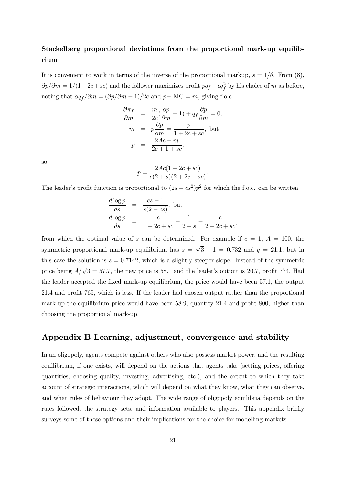## Stackelberg proportional deviations from the proportional mark-up equilibrium

It is convenient to work in terms of the inverse of the proportional markup,  $s = 1/\theta$ . From (8),  $\partial p/\partial m = 1/(1+2c+sc)$  and the follower maximizes profit  $p\bar{q}f - c q_f^2$  by his choice of m as before, noting that  $\partial q_f / \partial m = (\partial p / \partial m - 1)/2c$  and  $p$ - MC = m, giving f.o.c

$$
\frac{\partial \pi_f}{\partial m} = \frac{m}{2c}(\frac{\partial p}{\partial m} - 1) + q_f \frac{\partial p}{\partial m} = 0,
$$
  
\n
$$
m = p \frac{\partial p}{\partial m} = \frac{p}{1 + 2c + sc}, \text{ but}
$$
  
\n
$$
p = \frac{2Ac + m}{2c + 1 + sc},
$$

so

$$
p = \frac{2Ac(1+2c+sc)}{c(2+s)(2+2c+sc)}.
$$

The leader's profit function is proportional to  $(2s - cs^2)p^2$  for which the f.o.c. can be written

$$
\frac{d \log p}{ds} = \frac{cs - 1}{s(2 - cs)}, \text{ but}
$$
\n
$$
\frac{d \log p}{ds} = \frac{c}{1 + 2c + sc} - \frac{1}{2 + s} - \frac{c}{2 + 2c + sc},
$$

from which the optimal value of s can be determined. For example if  $c = 1, A = 100$ , the symmetric proportional mark-up equilibrium has  $s = \sqrt{3} - 1 = 0.732$  and  $q = 21.1$ , but in this case the solution is  $s = 0.7142$ , which is a slightly steeper slope. Instead of the symmetric price being  $A/\sqrt{3} = 57.7$ , the new price is 58.1 and the leader's output is 20.7, profit 774. Had the leader accepted the fixed mark-up equilibrium, the price would have been 571, the output 214 and profit 765, which is less. If the leader had chosen output rather than the proportional mark-up the equilibrium price would have been 589, quantity 214 and profit 800, higher than choosing the proportional mark-up.

## Appendix B Learning, adjustment, convergence and stability

In an oligopoly, agents compete against others who also possess market power, and the resulting equilibrium, if one exists, will depend on the actions that agents take (setting prices, offering quantities, choosing quality, investing, advertising, etc.), and the extent to which they take account of strategic interactions, which will depend on what they know, what they can observe, and what rules of behaviour they adopt. The wide range of oligopoly equilibria depends on the rules followed, the strategy sets, and information available to players. This appendix briefly surveys some of these options and their implications for the choice for modelling markets.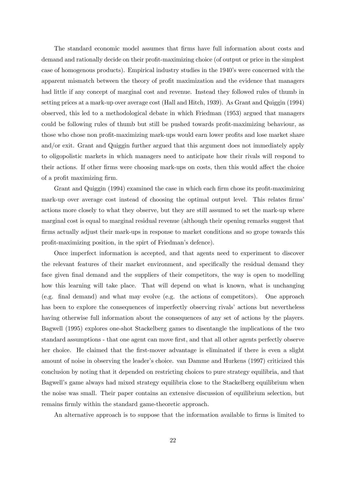The standard economic model assumes that firms have full information about costs and demand and rationally decide on their profit-maximizing choice (of output or price in the simplest case of homogenous products). Empirical industry studies in the 1940's were concerned with the apparent mismatch between the theory of profit maximization and the evidence that managers had little if any concept of marginal cost and revenue. Instead they followed rules of thumb in setting prices at a mark-up over average cost (Hall and Hitch, 1939). As Grant and Quiggin (1994) observed, this led to a methodological debate in which Friedman (1953) argued that managers could be following rules of thumb but still be pushed towards profit-maximizing behaviour, as those who chose non profit-maximizing mark-ups would earn lower profits and lose market share and/or exit. Grant and Quiggin further argued that this argument does not immediately apply to oligopolistic markets in which managers need to anticipate how their rivals will respond to their actions. If other firms were choosing mark-ups on costs, then this would affect the choice of a profit maximizing firm.

Grant and Quiggin (1994) examined the case in which each firm chose its profit-maximizing mark-up over average cost instead of choosing the optimal output level. This relates firms' actions more closely to what they observe, but they are still assumed to set the mark-up where marginal cost is equal to marginal residual revenue (although their opening remarks suggest that firms actually adjust their mark-ups in response to market conditions and so grope towards this profit-maximizing position, in the spirt of Friedman's defence).

Once imperfect information is accepted, and that agents need to experiment to discover the relevant features of their market environment, and specifically the residual demand they face given final demand and the suppliers of their competitors, the way is open to modelling how this learning will take place. That will depend on what is known, what is unchanging (e.g. final demand) and what may evolve (e.g. the actions of competitors). One approach has been to explore the consequences of imperfectly observing rivals' actions but nevertheless having otherwise full information about the consequences of any set of actions by the players. Bagwell (1995) explores one-shot Stackelberg games to disentangle the implications of the two standard assumptions - that one agent can move first, and that all other agents perfectly observe her choice. He claimed that the first-mover advantage is eliminated if there is even a slight amount of noise in observing the leader's choice. van Damme and Hurkens (1997) criticized this conclusion by noting that it depended on restricting choices to pure strategy equilibria, and that Bagwell's game always had mixed strategy equilibria close to the Stackelberg equilibrium when the noise was small. Their paper contains an extensive discussion of equilibrium selection, but remains firmly within the standard game-theoretic approach.

An alternative approach is to suppose that the information available to firms is limited to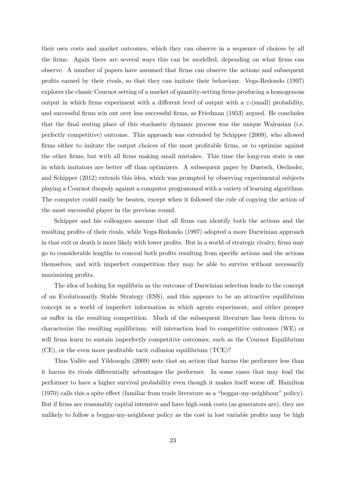their own costs and market outcomes, which they can observe in a sequence of choices by all the firms. Again there are several ways this can be modelled, depending on what firms can observe. A number of papers have assumed that firms can observe the actions and subsequent profits earned by their rivals, so that they can imitate their behaviour. Vega-Redondo (1997) explores the classic Cournot setting of a market of quantity-setting firms producing a homogenous output in which firms experiment with a different level of output with a  $\varepsilon$ -(small) probability, and successful firms win out over less successful firms, as Friedman (1953) argued. He concludes that the final resting place of this stochastic dynamic process was the unique Walrasian (i.e. perfectly competitive) outcome. This approach was extended by Schipper (2009), who allowed firms either to imitate the output choices of the most profitable firms, or to optimize against the other firms, but with all firms making small mistakes. This time the long-run state is one in which imitators are better off than optimizers. A subsequent paper by Duersch, Oechssler, and Schipper (2012) extends this idea, which was prompted by observing experimental subjects playing a Cournot duopoly against a computer programmed with a variety of learning algorithms. The computer could easily be beaten, except when it followed the rule of copying the action of the most successful player in the previous round.

Schipper and his colleagues assume that all firms can identify both the actions and the resulting profits of their rivals, while Vega-Redondo (1997) adopted a more Darwinian approach in that exit or death is more likely with lower profits. But in a world of strategic rivalry, firms may go to considerable lengths to conceal both profits resulting from specific actions and the actions themselves, and with imperfect competition they may be able to survive without necessarily maximizing profits.

The idea of looking for equilibria as the outcome of Darwinian selection leads to the concept of an Evolutionarily Stable Strategy (ESS), and this appears to be an attractive equilibrium concept in a world of imperfect information in which agents experiment, and either prosper or suffer in the resulting competition. Much of the subsequent literature has been driven to characterize the resulting equilibrium: will interaction lead to competitive outcomes (WE) or will firms learn to sustain imperfectly competitive outcomes, such as the Cournot Equilibrium (CE), or the even more profitable tacit collusion equilibrium (TCE)?

Thus Vallée and Yildozoglu (2009) note that an action that harms the performer less than it harms its rivals differentially advantages the performer. In some cases that may lead the performer to have a higher survival probability even though it makes itself worse off. Hamilton (1970) calls this a spite effect (familiar from trade literature as a "beggar-my-neighbour" policy). But if firms are reasonably capital intensive and have high sunk costs (as generators are), they are unlikely to follow a beggar-my-neighbour policy as the cost in lost variable profits may be high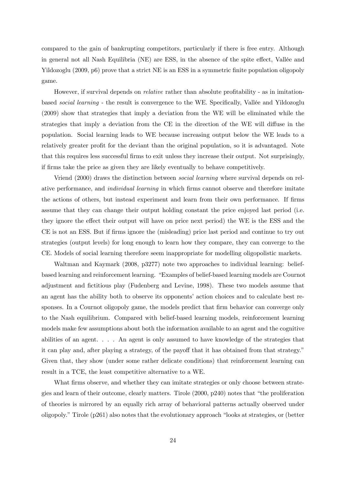compared to the gain of bankrupting competitors, particularly if there is free entry. Although in general not all Nash Equilibria (NE) are ESS, in the absence of the spite effect, Vallée and Yildozoglu (2009, p6) prove that a strict NE is an ESS in a symmetric finite population oligopoly game.

However, if survival depends on *relative* rather than absolute profitability - as in imitationbased social learning - the result is convergence to the WE. Specifically, Vallée and Yildozoglu (2009) show that strategies that imply a deviation from the WE will be eliminated while the strategies that imply a deviation from the CE in the direction of the WE will diffuse in the population. Social learning leads to WE because increasing output below the WE leads to a relatively greater profit for the deviant than the original population, so it is advantaged. Note that this requires less successful firms to exit unless they increase their output. Not surprisingly, if firms take the price as given they are likely eventually to behave competitively.

Vriend (2000) draws the distinction between social learning where survival depends on relative performance, and individual learning in which firms cannot observe and therefore imitate the actions of others, but instead experiment and learn from their own performance. If firms assume that they can change their output holding constant the price enjoyed last period (i.e. they ignore the effect their output will have on price next period) the WE is the ESS and the CE is not an ESS. But if firms ignore the (misleading) price last period and continue to try out strategies (output levels) for long enough to learn how they compare, they can converge to the CE. Models of social learning therefore seem inappropriate for modelling oligopolistic markets.

Waltman and Kaymark (2008, p3277) note two approaches to individual learning: beliefbased learning and reinforcement learning. "Examples of belief-based learning models are Cournot adjustment and fictitious play (Fudenberg and Levine, 1998). These two models assume that an agent has the ability both to observe its opponents' action choices and to calculate best responses. In a Cournot oligopoly game, the models predict that firm behavior can converge only to the Nash equilibrium. Compared with belief-based learning models, reinforcement learning models make few assumptions about both the information available to an agent and the cognitive abilities of an agent. . . . An agent is only assumed to have knowledge of the strategies that it can play and, after playing a strategy, of the payoff that it has obtained from that strategy." Given that, they show (under some rather delicate conditions) that reinforcement learning can result in a TCE, the least competitive alternative to a WE.

What firms observe, and whether they can imitate strategies or only choose between strategies and learn of their outcome, clearly matters. Tirole (2000, p240) notes that "the proliferation of theories is mirrored by an equally rich array of behavioral patterns actually observed under oligopoly." Tirole (p261) also notes that the evolutionary approach "looks at strategies, or (better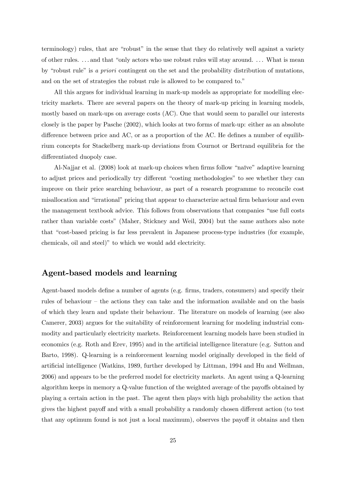terminology) rules, that are "robust" in the sense that they do relatively well against a variety of other rules. . . . and that "only actors who use robust rules will stay around. . . . What is mean by "robust rule" is a priori contingent on the set and the probability distribution of mutations, and on the set of strategies the robust rule is allowed to be compared to."

All this argues for individual learning in mark-up models as appropriate for modelling electricity markets. There are several papers on the theory of mark-up pricing in learning models, mostly based on mark-ups on average costs (AC). One that would seem to parallel our interests closely is the paper by Pasche (2002), which looks at two forms of mark-up: either as an absolute difference between price and AC, or as a proportion of the AC. He defines a number of equilibrium concepts for Stackelberg mark-up deviations from Cournot or Bertrand equilibria for the differentiated duopoly case.

Al-Najjar et al. (2008) look at mark-up choices when firms follow "naïve" adaptive learning to adjust prices and periodically try different "costing methodologies" to see whether they can improve on their price searching behaviour, as part of a research programme to reconcile cost misallocation and "irrational" pricing that appear to characterize actual firm behaviour and even the management textbook advice. This follows from observations that companies "use full costs rather than variable costs" (Maher, Stickney and Weil, 2004) but the same authors also note that "cost-based pricing is far less prevalent in Japanese process-type industries (for example, chemicals, oil and steel)" to which we would add electricity.

## Agent-based models and learning

Agent-based models define a number of agents (e.g. firms, traders, consumers) and specify their rules of behaviour — the actions they can take and the information available and on the basis of which they learn and update their behaviour. The literature on models of learning (see also Camerer, 2003) argues for the suitability of reinforcement learning for modeling industrial commodity and particularly electricity markets. Reinforcement learning models have been studied in economics (e.g. Roth and Erev, 1995) and in the artificial intelligence literature (e.g. Sutton and Barto, 1998). Q-learning is a reinforcement learning model originally developed in the field of artificial intelligence (Watkins, 1989, further developed by Littman, 1994 and Hu and Wellman, 2006) and appears to be the preferred model for electricity markets. An agent using a Q-learning algorithm keeps in memory a Q-value function of the weighted average of the payoffs obtained by playing a certain action in the past. The agent then plays with high probability the action that gives the highest payoff and with a small probability a randomly chosen different action (to test that any optimum found is not just a local maximum), observes the payoff it obtains and then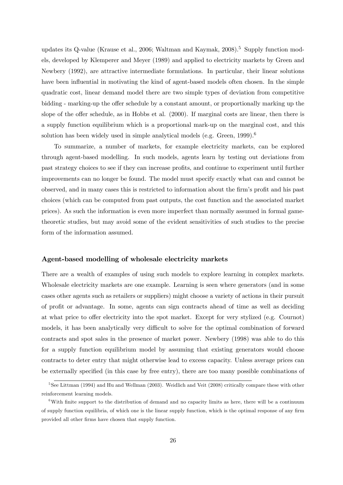updates its Q-value (Krause et al., 2006; Waltman and Kaymak,  $2008$ ).<sup>5</sup> Supply function models, developed by Klemperer and Meyer (1989) and applied to electricity markets by Green and Newbery (1992), are attractive intermediate formulations. In particular, their linear solutions have been influential in motivating the kind of agent-based models often chosen. In the simple quadratic cost, linear demand model there are two simple types of deviation from competitive bidding - marking-up the offer schedule by a constant amount, or proportionally marking up the slope of the offer schedule, as in Hobbs et al. (2000). If marginal costs are linear, then there is a supply function equilibrium which is a proportional mark-up on the marginal cost, and this solution has been widely used in simple analytical models (e.g. Green,  $1999$ ).<sup>6</sup>

To summarize, a number of markets, for example electricity markets, can be explored through agent-based modelling. In such models, agents learn by testing out deviations from past strategy choices to see if they can increase profits, and continue to experiment until further improvements can no longer be found. The model must specify exactly what can and cannot be observed, and in many cases this is restricted to information about the firm's profit and his past choices (which can be computed from past outputs, the cost function and the associated market prices). As such the information is even more imperfect than normally assumed in formal gametheoretic studies, but may avoid some of the evident sensitivities of such studies to the precise form of the information assumed.

#### Agent-based modelling of wholesale electricity markets

There are a wealth of examples of using such models to explore learning in complex markets. Wholesale electricity markets are one example. Learning is seen where generators (and in some cases other agents such as retailers or suppliers) might choose a variety of actions in their pursuit of profit or advantage. In some, agents can sign contracts ahead of time as well as deciding at what price to offer electricity into the spot market. Except for very stylized (e.g. Cournot) models, it has been analytically very difficult to solve for the optimal combination of forward contracts and spot sales in the presence of market power. Newbery (1998) was able to do this for a supply function equilibrium model by assuming that existing generators would choose contracts to deter entry that might otherwise lead to excess capacity. Unless average prices can be externally specified (in this case by free entry), there are too many possible combinations of

 $5$ See Littman (1994) and Hu and Wellman (2003). Weidlich and Veit (2008) critically compare these with other reinforcement learning models.

<sup>&</sup>lt;sup>6</sup>With finite support to the distribution of demand and no capacity limits as here, there will be a continuum of supply function equilibria, of which one is the linear supply function, which is the optimal response of any firm provided all other firms have chosen that supply function.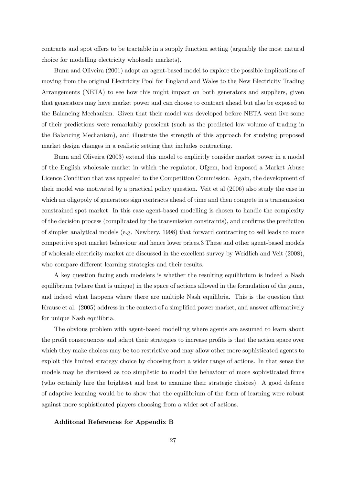contracts and spot offers to be tractable in a supply function setting (arguably the most natural choice for modelling electricity wholesale markets).

Bunn and Oliveira (2001) adopt an agent-based model to explore the possible implications of moving from the original Electricity Pool for England and Wales to the New Electricity Trading Arrangements (NETA) to see how this might impact on both generators and suppliers, given that generators may have market power and can choose to contract ahead but also be exposed to the Balancing Mechanism. Given that their model was developed before NETA went live some of their predictions were remarkably prescient (such as the predicted low volume of trading in the Balancing Mechanism), and illustrate the strength of this approach for studying proposed market design changes in a realistic setting that includes contracting.

Bunn and Oliveira (2003) extend this model to explicitly consider market power in a model of the English wholesale market in which the regulator, Ofgem, had imposed a Market Abuse Licence Condition that was appealed to the Competition Commission. Again, the development of their model was motivated by a practical policy question. Veit et al (2006) also study the case in which an oligopoly of generators sign contracts ahead of time and then compete in a transmission constrained spot market. In this case agent-based modelling is chosen to handle the complexity of the decision process (complicated by the transmission constraints), and confirms the prediction of simpler analytical models (e.g. Newbery, 1998) that forward contracting to sell leads to more competitive spot market behaviour and hence lower prices.3 These and other agent-based models of wholesale electricity market are discussed in the excellent survey by Weidlich and Veit (2008), who compare different learning strategies and their results.

A key question facing such modelers is whether the resulting equilibrium is indeed a Nash equilibrium (where that is unique) in the space of actions allowed in the formulation of the game, and indeed what happens where there are multiple Nash equilibria. This is the question that Krause et al. (2005) address in the context of a simplified power market, and answer affirmatively for unique Nash equilibria.

The obvious problem with agent-based modelling where agents are assumed to learn about the profit consequences and adapt their strategies to increase profits is that the action space over which they make choices may be too restrictive and may allow other more sophisticated agents to exploit this limited strategy choice by choosing from a wider range of actions. In that sense the models may be dismissed as too simplistic to model the behaviour of more sophisticated firms (who certainly hire the brightest and best to examine their strategic choices). A good defence of adaptive learning would be to show that the equilibrium of the form of learning were robust against more sophisticated players choosing from a wider set of actions.

#### Additonal References for Appendix B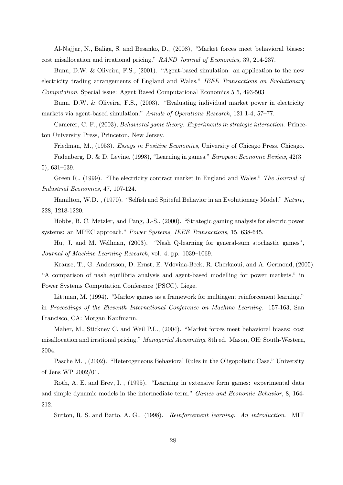Al-Najjar, N., Baliga, S. and Besanko, D., (2008), "Market forces meet behavioral biases: cost misallocation and irrational pricing." RAND Journal of Economics, 39, 214-237.

Bunn, D.W. & Oliveira, F.S., (2001). "Agent-based simulation: an application to the new electricity trading arrangements of England and Wales." IEEE Transactions on Evolutionary Computation, Special issue: Agent Based Computational Economics 5 5, 493-503

Bunn, D.W. & Oliveira, F.S., (2003). "Evaluating individual market power in electricity markets via agent-based simulation." Annals of Operations Research, 121 1-4, 57—77.

Camerer, C. F., (2003), Behavioral game theory: Experiments in strategic interaction. Princeton University Press, Princeton, New Jersey.

Friedman, M., (1953). Essays in Positive Economics, University of Chicago Press, Chicago.

Fudenberg, D. & D. Levine, (1998), "Learning in games." European Economic Review, 42(3— 5), 631—639.

Green R., (1999). "The electricity contract market in England and Wales." The Journal of Industrial Economics, 47, 107-124.

Hamilton, W.D. , (1970). "Selfish and Spiteful Behavior in an Evolutionary Model." Nature, 228, 1218-1220.

Hobbs, B. C. Metzler, and Pang, J.-S., (2000). "Strategic gaming analysis for electric power systems: an MPEC approach." Power Systems, IEEE Transactions, 15, 638-645.

Hu, J. and M. Wellman, (2003). "Nash Q-learning for general-sum stochastic games", Journal of Machine Learning Research, vol. 4, pp. 1039—1069.

Krause, T., G. Andersson, D. Ernst, E. Vdovina-Beck, R. Cherkaoui, and A. Germond, (2005). "A comparison of nash equilibria analysis and agent-based modelling for power markets." in Power Systems Computation Conference (PSCC), Liege.

Littman, M. (1994). "Markov games as a framework for multiagent reinforcement learning." in Proceedings of the Eleventh International Conference on Machine Learning. 157-163, San Francisco, CA: Morgan Kaufmann.

Maher, M., Stickney C. and Weil P.L., (2004). "Market forces meet behavioral biases: cost misallocation and irrational pricing." Managerial Accounting, 8th ed. Mason, OH: South-Western, 2004.

Pasche M. , (2002). "Heterogeneous Behavioral Rules in the Oligopolistic Case." University of Jens WP 2002/01.

Roth, A. E. and Erev, I. , (1995). "Learning in extensive form games: experimental data and simple dynamic models in the intermediate term." Games and Economic Behavior, 8, 164- 212.

Sutton, R. S. and Barto, A. G., (1998). Reinforcement learning: An introduction. MIT